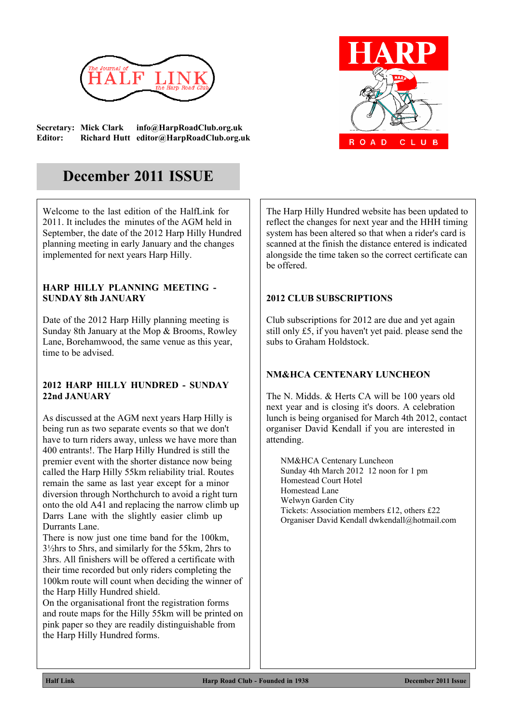

**Secretary: Mick Clark info@HarpRoadClub.org.uk Editor: Richard Hutt editor@HarpRoadClub.org.uk**



# **December 2011 ISSUE**

Welcome to the last edition of the HalfLink for 2011. It includes the minutes of the AGM held in September, the date of the 2012 Harp Hilly Hundred planning meeting in early January and the changes implemented for next years Harp Hilly.

#### **HARP HILLY PLANNING MEETING - SUNDAY 8th JANUARY**

Date of the 2012 Harp Hilly planning meeting is Sunday 8th January at the Mop & Brooms, Rowley Lane, Borehamwood, the same venue as this year, time to be advised.

#### **2012 HARP HILLY HUNDRED - SUNDAY 22nd JANUARY**

As discussed at the AGM next years Harp Hilly is being run as two separate events so that we don't have to turn riders away, unless we have more than 400 entrants!. The Harp Hilly Hundred is still the premier event with the shorter distance now being called the Harp Hilly 55km reliability trial. Routes remain the same as last year except for a minor diversion through Northchurch to avoid a right turn onto the old A41 and replacing the narrow climb up Darrs Lane with the slightly easier climb up Durrants Lane.

There is now just one time band for the 100km, 3½hrs to 5hrs, and similarly for the 55km, 2hrs to 3hrs. All finishers will be offered a certificate with their time recorded but only riders completing the 100km route will count when deciding the winner of the Harp Hilly Hundred shield.

On the organisational front the registration forms and route maps for the Hilly 55km will be printed on pink paper so they are readily distinguishable from the Harp Hilly Hundred forms.

The Harp Hilly Hundred website has been updated to reflect the changes for next year and the HHH timing system has been altered so that when a rider's card is scanned at the finish the distance entered is indicated alongside the time taken so the correct certificate can be offered.

## **2012 CLUB SUBSCRIPTIONS**

Club subscriptions for 2012 are due and yet again still only £5, if you haven't yet paid. please send the subs to Graham Holdstock.

## **NM&HCA CENTENARY LUNCHEON**

The N. Midds. & Herts CA will be 100 years old next year and is closing it's doors. A celebration lunch is being organised for March 4th 2012, contact organiser David Kendall if you are interested in attending.

NM&HCA Centenary Luncheon Sunday 4th March 2012 12 noon for 1 pm Homestead Court Hotel Homestead Lane Welwyn Garden City Tickets: Association members £12, others £22 Organiser David Kendall dwkendall@hotmail.com